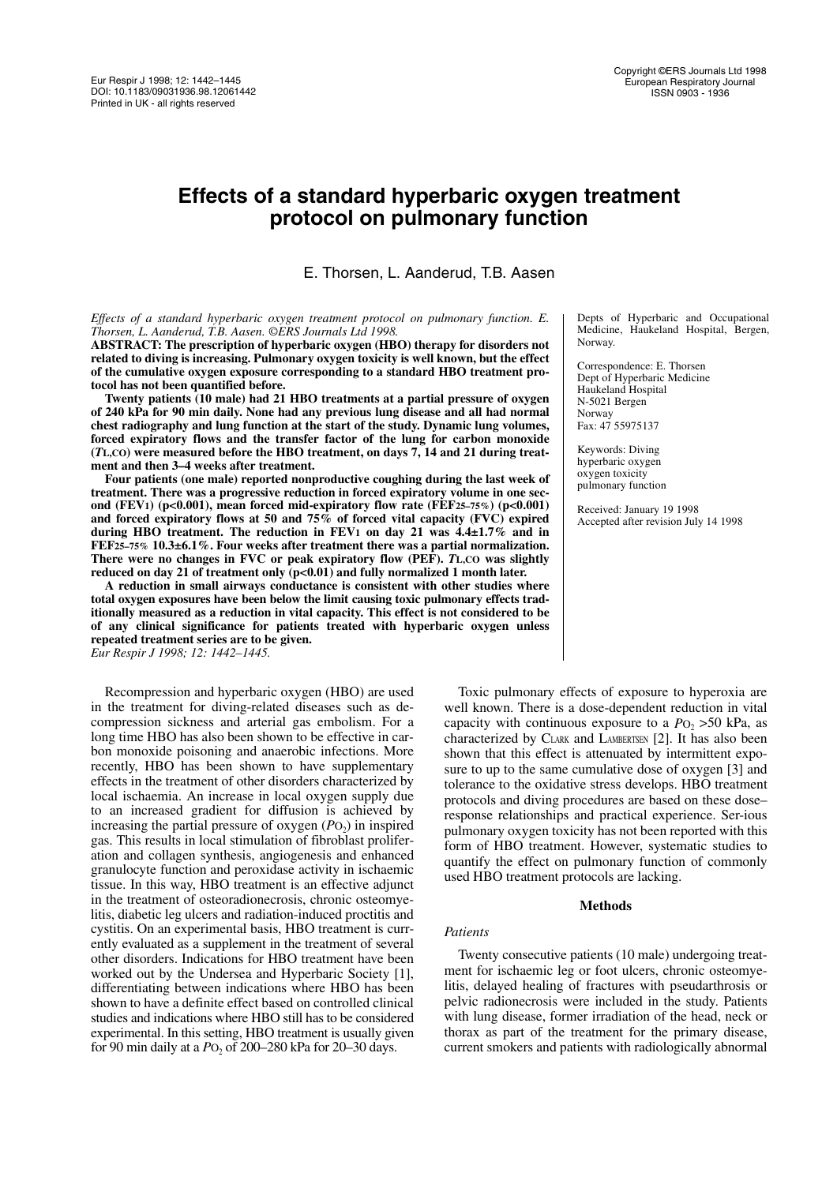# **Effects of a standard hyperbaric oxygen treatment protocol on pulmonary function**

E. Thorsen, L. Aanderud, T.B. Aasen

*Effects of a standard hyperbaric oxygen treatment protocol on pulmonary function. E. Thorsen, L. Aanderud, T.B. Aasen. ©ERS Journals Ltd 1998.*

**ABSTRACT: The prescription of hyperbaric oxygen (HBO) therapy for disorders not related to diving is increasing. Pulmonary oxygen toxicity is well known, but the effect of the cumulative oxygen exposure corresponding to a standard HBO treatment protocol has not been quantified before.**

**Twenty patients (10 male) had 21 HBO treatments at a partial pressure of oxygen of 240 kPa for 90 min daily. None had any previous lung disease and all had normal chest radiography and lung function at the start of the study. Dynamic lung volumes, forced expiratory flows and the transfer factor of the lung for carbon monoxide (***T***L,CO) were measured before the HBO treatment, on days 7, 14 and 21 during treatment and then 3–4 weeks after treatment.**

**Four patients (one male) reported nonproductive coughing during the last week of treatment. There was a progressive reduction in forced expiratory volume in one second (FEV1) (p<0.001), mean forced mid-expiratory flow rate (FEF25–75%) (p<0.001) and forced expiratory flows at 50 and 75% of forced vital capacity (FVC) expired during HBO treatment. The reduction in FEV1 on day 21 was 4.4±1.7% and in FEF25–75% 10.3±6.1%. Four weeks after treatment there was a partial normalization. There were no changes in FVC or peak expiratory flow (PEF).** *T***L,CO was slightly reduced on day 21 of treatment only (p<0.01) and fully normalized 1 month later.**

**A reduction in small airways conductance is consistent with other studies where total oxygen exposures have been below the limit causing toxic pulmonary effects traditionally measured as a reduction in vital capacity. This effect is not considered to be of any clinical significance for patients treated with hyperbaric oxygen unless repeated treatment series are to be given.** *Eur Respir J 1998; 12: 1442–1445.*

Recompression and hyperbaric oxygen (HBO) are used in the treatment for diving-related diseases such as decompression sickness and arterial gas embolism. For a long time HBO has also been shown to be effective in carbon monoxide poisoning and anaerobic infections. More recently, HBO has been shown to have supplementary effects in the treatment of other disorders characterized by local ischaemia. An increase in local oxygen supply due to an increased gradient for diffusion is achieved by increasing the partial pressure of oxygen  $(PO<sub>2</sub>)$  in inspired gas. This results in local stimulation of fibroblast proliferation and collagen synthesis, angiogenesis and enhanced granulocyte function and peroxidase activity in ischaemic tissue. In this way, HBO treatment is an effective adjunct in the treatment of osteoradionecrosis, chronic osteomyelitis, diabetic leg ulcers and radiation-induced proctitis and cystitis. On an experimental basis, HBO treatment is currently evaluated as a supplement in the treatment of several other disorders. Indications for HBO treatment have been worked out by the Undersea and Hyperbaric Society [1], differentiating between indications where HBO has been shown to have a definite effect based on controlled clinical studies and indications where HBO still has to be considered experimental. In this setting, HBO treatment is usually given for 90 min daily at a *P*O<sub>2</sub> of 200–280 kPa for 20–30 days.

Depts of Hyperbaric and Occupational Medicine, Haukeland Hospital, Bergen, Norway.

Correspondence: E. Thorsen Dept of Hyperbaric Medicine Haukeland Hospital N-5021 Bergen Norway Fax: 47 55975137

Keywords: Diving hyperbaric oxygen oxygen toxicity pulmonary function

Received: January 19 1998 Accepted after revision July 14 1998

Toxic pulmonary effects of exposure to hyperoxia are well known. There is a dose-dependent reduction in vital capacity with continuous exposure to a  $P_{\text{O}_2}$  >50 kPa, as characterized by CLARK and LAMBERTSEN [2]. It has also been shown that this effect is attenuated by intermittent exposure to up to the same cumulative dose of oxygen [3] and tolerance to the oxidative stress develops. HBO treatment protocols and diving procedures are based on these dose– response relationships and practical experience. Ser-ious pulmonary oxygen toxicity has not been reported with this form of HBO treatment. However, systematic studies to quantify the effect on pulmonary function of commonly used HBO treatment protocols are lacking.

# **Methods**

# *Patients*

Twenty consecutive patients (10 male) undergoing treatment for ischaemic leg or foot ulcers, chronic osteomyelitis, delayed healing of fractures with pseudarthrosis or pelvic radionecrosis were included in the study. Patients with lung disease, former irradiation of the head, neck or thorax as part of the treatment for the primary disease, current smokers and patients with radiologically abnormal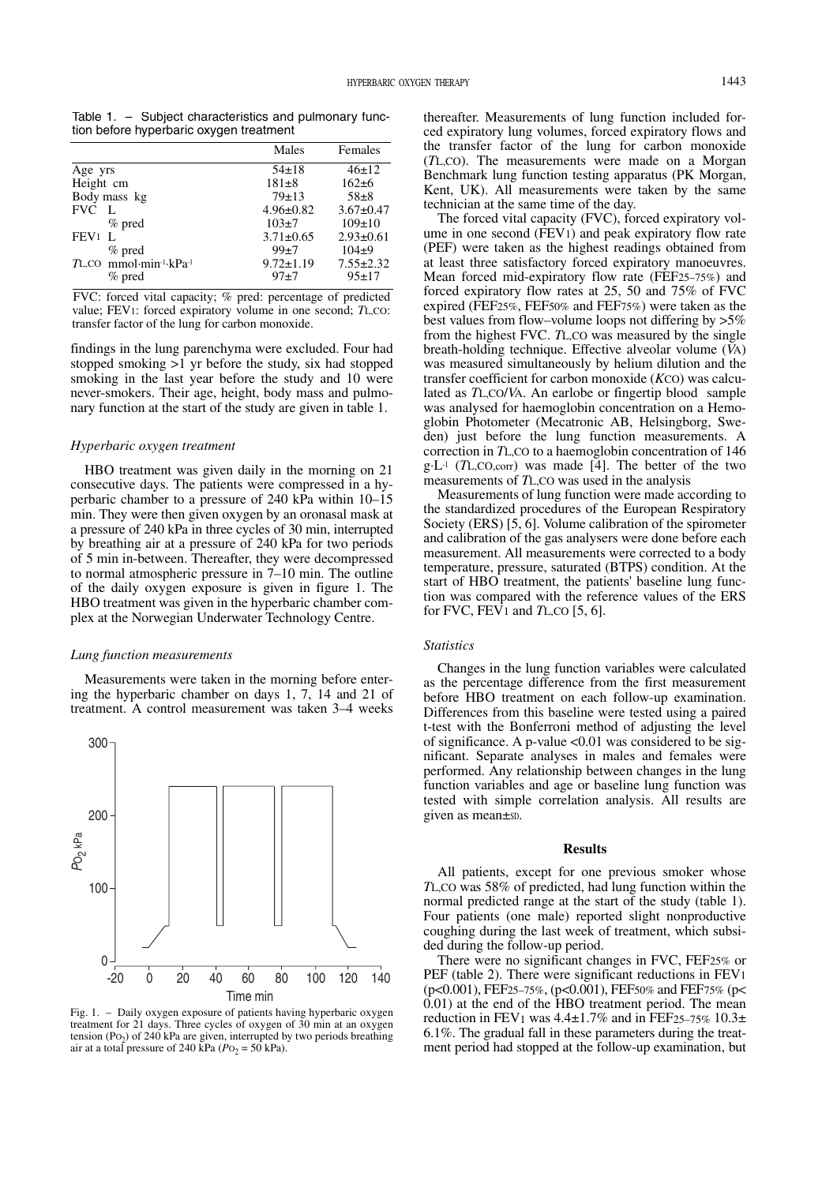Table 1. – Subject characteristics and pulmonary function before hyperbaric oxygen treatment

| Males           | Females         |
|-----------------|-----------------|
| $54\pm18$       | $46 \pm 12$     |
| $181 + 8$       | $162 + 6$       |
| $79+13$         | $58+8$          |
| $4.96 \pm 0.82$ | $3.67 \pm 0.47$ |
| $103+7$         | $109 \pm 10$    |
| $3.71 \pm 0.65$ | $2.93 \pm 0.61$ |
| $99 + 7$        | $104+9$         |
| $9.72 \pm 1.19$ | $7.55 \pm 2.32$ |
| $97+7$          | $95+17$         |
|                 |                 |

FVC: forced vital capacity; % pred: percentage of predicted value; FEV1: forced expiratory volume in one second; *T*L,CO: transfer factor of the lung for carbon monoxide.

findings in the lung parenchyma were excluded. Four had stopped smoking >1 yr before the study, six had stopped smoking in the last year before the study and 10 were never-smokers. Their age, height, body mass and pulmonary function at the start of the study are given in table 1.

## *Hyperbaric oxygen treatment*

HBO treatment was given daily in the morning on 21 consecutive days. The patients were compressed in a hyperbaric chamber to a pressure of 240 kPa within 10–15 min. They were then given oxygen by an oronasal mask at a pressure of 240 kPa in three cycles of 30 min, interrupted by breathing air at a pressure of 240 kPa for two periods of 5 min in-between. Thereafter, they were decompressed to normal atmospheric pressure in 7–10 min. The outline of the daily oxygen exposure is given in figure 1. The HBO treatment was given in the hyperbaric chamber complex at the Norwegian Underwater Technology Centre.

#### *Lung function measurements*

Measurements were taken in the morning before entering the hyperbaric chamber on days 1, 7, 14 and 21 of treatment. A control measurement was taken 3–4 weeks



Fig. 1. – Daily oxygen exposure of patients having hyperbaric oxygen treatment for 21 days. Three cycles of oxygen of 30 min at an oxygen tension (Po<sub>2</sub>) of 240 kPa are given, interrupted by two periods breathing air at a total pressure of 240 kPa ( $PQ_2 = 50$  kPa).

thereafter. Measurements of lung function included forced expiratory lung volumes, forced expiratory flows and the transfer factor of the lung for carbon monoxide (*T*L,CO). The measurements were made on a Morgan Benchmark lung function testing apparatus (PK Morgan, Kent, UK). All measurements were taken by the same technician at the same time of the day.

The forced vital capacity (FVC), forced expiratory volume in one second (FEV1) and peak expiratory flow rate (PEF) were taken as the highest readings obtained from at least three satisfactory forced expiratory manoeuvres. Mean forced mid-expiratory flow rate (FEF25–75%) and forced expiratory flow rates at 25, 50 and 75% of FVC expired (FEF25%, FEF50% and FEF75%) were taken as the best values from flow–volume loops not differing by >5% from the highest FVC. *T*L,CO was measured by the single breath-holding technique. Effective alveolar volume (*V*A) was measured simultaneously by helium dilution and the transfer coefficient for carbon monoxide (*K*CO) was calculated as *T*L,CO/*V*A. An earlobe or fingertip blood sample was analysed for haemoglobin concentration on a Hemoglobin Photometer (Mecatronic AB, Helsingborg, Sweden) just before the lung function measurements. A correction in *T*L,CO to a haemoglobin concentration of 146 g·L-1 (*T*L,CO,corr) was made [4]. The better of the two measurements of *T*L,CO was used in the analysis

Measurements of lung function were made according to the standardized procedures of the European Respiratory Society (ERS) [5, 6]. Volume calibration of the spirometer and calibration of the gas analysers were done before each measurement. All measurements were corrected to a body temperature, pressure, saturated (BTPS) condition. At the start of HBO treatment, the patients' baseline lung function was compared with the reference values of the ERS for FVC, FEV1 and *T*L,CO [5, 6].

# *Statistics*

Changes in the lung function variables were calculated as the percentage difference from the first measurement before HBO treatment on each follow-up examination. Differences from this baseline were tested using a paired t-test with the Bonferroni method of adjusting the level of significance. A p-value  $\leq 0.01$  was considered to be significant. Separate analyses in males and females were performed. Any relationship between changes in the lung function variables and age or baseline lung function was tested with simple correlation analysis. All results are given as mean $\pm$ sp.

#### **Results**

All patients, except for one previous smoker whose *T*L,CO was 58% of predicted, had lung function within the normal predicted range at the start of the study (table 1). Four patients (one male) reported slight nonproductive coughing during the last week of treatment, which subsided during the follow-up period.

There were no significant changes in FVC, FEF25% or PEF (table 2). There were significant reductions in FEV1 (p<0.001), FEF25–75%, (p<0.001), FEF50% and FEF75% (p< 0.01) at the end of the HBO treatment period. The mean reduction in FEV<sub>1</sub> was  $4.4\pm1.7\%$  and in FEF<sub>25–75%</sub>  $10.3\pm$ 6.1%. The gradual fall in these parameters during the treatment period had stopped at the follow-up examination, but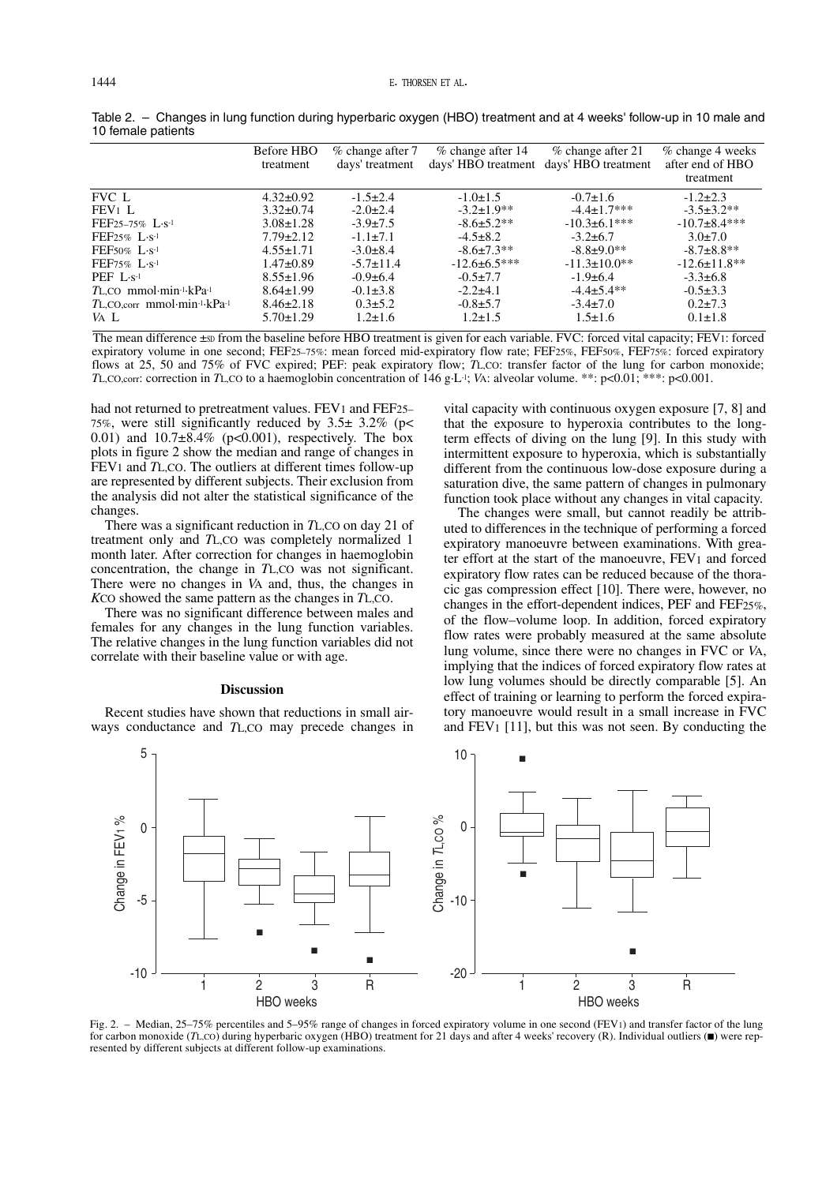|                                                | Before HBO<br>treatment | $%$ change after $7$<br>days' treatment | % change after 14   | % change after 21<br>days' HBO treatment days' HBO treatment | % change 4 weeks<br>after end of HBO<br>treatment |
|------------------------------------------------|-------------------------|-----------------------------------------|---------------------|--------------------------------------------------------------|---------------------------------------------------|
| <b>FVC</b> L                                   | $4.32 \pm 0.92$         | $-1.5\pm2.4$                            | $-1.0 \pm 1.5$      | $-0.7\pm1.6$                                                 | $-1.2\pm2.3$                                      |
| $FEV1$ L                                       | $3.32 \pm 0.74$         | $-2.0\pm2.4$                            | $-3.2 \pm 1.9$ **   | $-4.4+1.7***$                                                | $-3.5 \pm 3.2**$                                  |
| $FEF25-75\%$ $L·s-1$                           | $3.08 \pm 1.28$         | $-3.9 \pm 7.5$                          | $-8.6 \pm 5.2$ **   | $-10.3 \pm 6.1$ ***                                          | $-10.7+8.4***$                                    |
| $FEF25\%$ $L·s-1$                              | $7.79 \pm 2.12$         | $-1.1 \pm 7.1$                          | $-4.5+8.2$          | $-3.2\pm 6.7$                                                | $3.0 \pm 7.0$                                     |
| FEF50% $L \cdot s^{-1}$                        | $4.55 \pm 1.71$         | $-3.0\pm8.4$                            | $-8.6 \pm 7.3**$    | $-8.8 \pm 9.0$ **                                            | $-8.7+8.8**$                                      |
| $FEF75\%$ L·s <sup>-1</sup>                    | $1.47 \pm 0.89$         | $-5.7 \pm 11.4$                         | $-12.6 \pm 6.5$ *** | $-11.3 \pm 10.0$ **                                          | $-12.6 \pm 11.8$ **                               |
| PEF $L\cdot$ s <sup>-1</sup>                   | $8.55 \pm 1.96$         | $-0.9\pm 6.4$                           | $-0.5+7.7$          | $-1.9+6.4$                                                   | $-3.3\pm 6.8$                                     |
| TL,CO mmol·min <sup>1</sup> ·kPa <sup>-1</sup> | $8.64 \pm 1.99$         | $-0.1 \pm 3.8$                          | $-2.2+4.1$          | $-4.4 \pm 5.4$ **                                            | $-0.5 \pm 3.3$                                    |
| TL,CO,corr mmol·min-1·kPa-1                    | $8.46 \pm 2.18$         | $0.3 \pm 5.2$                           | $-0.8+5.7$          | $-3.4 \pm 7.0$                                               | $0.2 \pm 7.3$                                     |
| VA L                                           | $5.70 \pm 1.29$         | $1.2 \pm 1.6$                           | $1.2 \pm 1.5$       | $1.5 \pm 1.6$                                                | $0.1 \pm 1.8$                                     |

Table 2. – Changes in lung function during hyperbaric oxygen (HBO) treatment and at 4 weeks' follow-up in 10 male and 10 female patients

The mean difference  $\pm$ sp from the baseline before HBO treatment is given for each variable. FVC: forced vital capacity; FEV1: forced expiratory volume in one second; FEF25–75%: mean forced mid-expiratory flow rate; FEF25%, FEF50%, FEF75%: forced expiratory flows at 25, 50 and 75% of FVC expired; PEF: peak expiratory flow; *TL*,CO: transfer factor of the lung for carbon monoxide; *TL*, CO, corr: correction in *TL*, CO to a haemoglobin concentration of 146 g·L<sup>-1</sup>; *V*A: alveolar volume. \*\*: p<0.01; \*\*\*: p<0.001.

had not returned to pretreatment values. FEV1 and FEF25– 75%, were still significantly reduced by 3.5± 3.2% (p< 0.01) and  $10.7\pm8.4\%$  (p<0.001), respectively. The box plots in figure 2 show the median and range of changes in FEV1 and *T*L,CO. The outliers at different times follow-up are represented by different subjects. Their exclusion from the analysis did not alter the statistical significance of the changes.

There was a significant reduction in *T*L,CO on day 21 of treatment only and *T*L,CO was completely normalized 1 month later. After correction for changes in haemoglobin concentration, the change in *T*L,CO was not significant. There were no changes in *V*A and, thus, the changes in *K*CO showed the same pattern as the changes in *T*L,CO.

There was no significant difference between males and females for any changes in the lung function variables. The relative changes in the lung function variables did not correlate with their baseline value or with age.

#### **Discussion**

Recent studies have shown that reductions in small airways conductance and *T*L,CO may precede changes in vital capacity with continuous oxygen exposure [7, 8] and that the exposure to hyperoxia contributes to the longterm effects of diving on the lung [9]. In this study with intermittent exposure to hyperoxia, which is substantially different from the continuous low-dose exposure during a saturation dive, the same pattern of changes in pulmonary function took place without any changes in vital capacity.

The changes were small, but cannot readily be attributed to differences in the technique of performing a forced expiratory manoeuvre between examinations. With greater effort at the start of the manoeuvre, FEV1 and forced expiratory flow rates can be reduced because of the thoracic gas compression effect [10]. There were, however, no changes in the effort-dependent indices, PEF and FEF25%, of the flow–volume loop. In addition, forced expiratory flow rates were probably measured at the same absolute lung volume, since there were no changes in FVC or *V*A, implying that the indices of forced expiratory flow rates at low lung volumes should be directly comparable [5]. An effect of training or learning to perform the forced expiratory manoeuvre would result in a small increase in FVC and FEV1 [11], but this was not seen. By conducting the



Fig. 2. – Median, 25–75% percentiles and 5–95% range of changes in forced expiratory volume in one second (FEV1) and transfer factor of the lung for carbon monoxide (*T*L,CO) during hyperbaric oxygen (HBO) treatment for 21 days and after 4 weeks' recovery (R). Individual outliers (■) were represented by different subjects at different follow-up examinations.